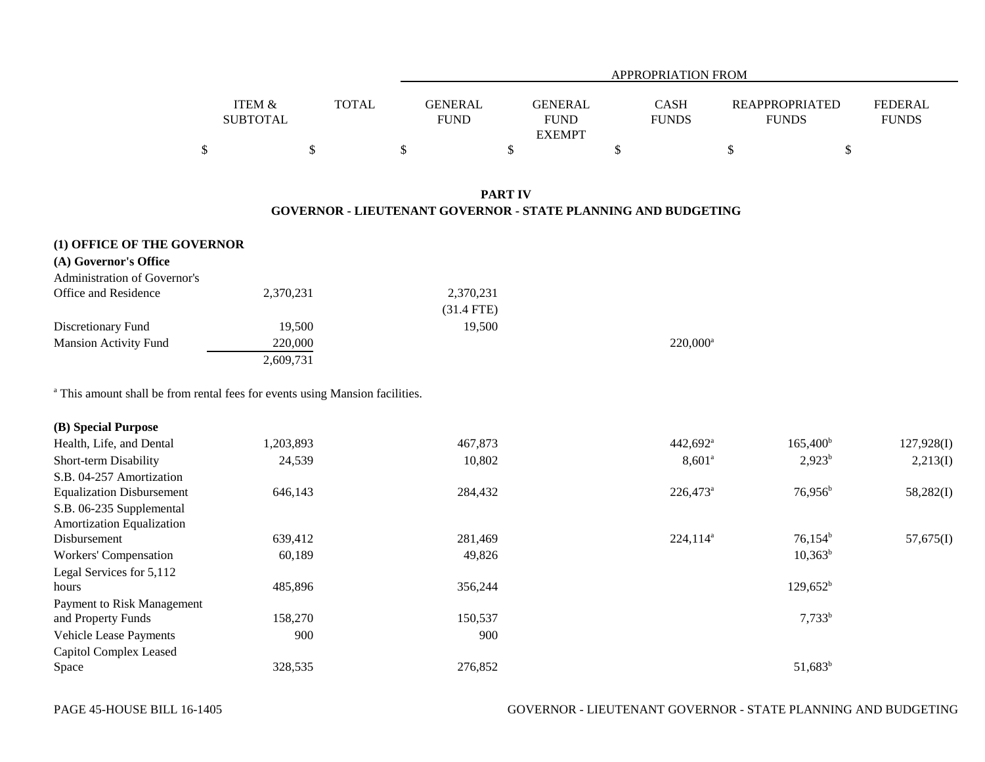|                   |       |                | APPROPRIATION FROM |              |                       |                |  |  |  |  |  |
|-------------------|-------|----------------|--------------------|--------------|-----------------------|----------------|--|--|--|--|--|
|                   |       |                |                    |              |                       |                |  |  |  |  |  |
| <b>ITEM &amp;</b> | TOTAL | <b>GENERAL</b> | <b>GENERAL</b>     | <b>CASH</b>  | <b>REAPPROPRIATED</b> | <b>FEDERAL</b> |  |  |  |  |  |
| <b>SUBTOTAL</b>   |       | <b>FUND</b>    | <b>FUND</b>        | <b>FUNDS</b> | <b>FUNDS</b>          | <b>FUNDS</b>   |  |  |  |  |  |
|                   |       |                | <b>EXEMPT</b>      |              |                       |                |  |  |  |  |  |
|                   |       |                |                    |              |                       |                |  |  |  |  |  |

# **PART IVGOVERNOR - LIEUTENANT GOVERNOR - STATE PLANNING AND BUDGETING**

| (1) OFFICE OF THE GOVERNOR<br>(A) Governor's Office |           |              |             |  |
|-----------------------------------------------------|-----------|--------------|-------------|--|
| Administration of Governor's                        |           |              |             |  |
| Office and Residence                                | 2,370,231 | 2,370,231    |             |  |
|                                                     |           | $(31.4$ FTE) |             |  |
| Discretionary Fund                                  | 19,500    | 19,500       |             |  |
| <b>Mansion Activity Fund</b>                        | 220,000   |              | $220,000^a$ |  |
|                                                     | 2,609,731 |              |             |  |

a This amount shall be from rental fees for events using Mansion facilities.

| (B) Special Purpose              |           |         |                        |                   |            |
|----------------------------------|-----------|---------|------------------------|-------------------|------------|
| Health, Life, and Dental         | 1,203,893 | 467,873 | $442,692$ <sup>a</sup> | $165,400^{\rm b}$ | 127,928(I) |
| Short-term Disability            | 24,539    | 10,802  | $8,601^{\circ}$        | $2,923^b$         | 2,213(I)   |
| S.B. 04-257 Amortization         |           |         |                        |                   |            |
| <b>Equalization Disbursement</b> | 646,143   | 284,432 | 226,473 <sup>a</sup>   | $76,956^{\rm b}$  | 58,282(I)  |
| S.B. 06-235 Supplemental         |           |         |                        |                   |            |
| <b>Amortization Equalization</b> |           |         |                        |                   |            |
| Disbursement                     | 639,412   | 281,469 | $224,114^a$            | $76,154^b$        | 57,675(I)  |
| Workers' Compensation            | 60,189    | 49,826  |                        | $10,363^b$        |            |
| Legal Services for 5,112         |           |         |                        |                   |            |
| hours                            | 485,896   | 356,244 |                        | $129,652^b$       |            |
| Payment to Risk Management       |           |         |                        |                   |            |
| and Property Funds               | 158,270   | 150,537 |                        | $7,733^b$         |            |
| <b>Vehicle Lease Payments</b>    | 900       | 900     |                        |                   |            |
| Capitol Complex Leased           |           |         |                        |                   |            |
| Space                            | 328,535   | 276,852 |                        | $51,683^b$        |            |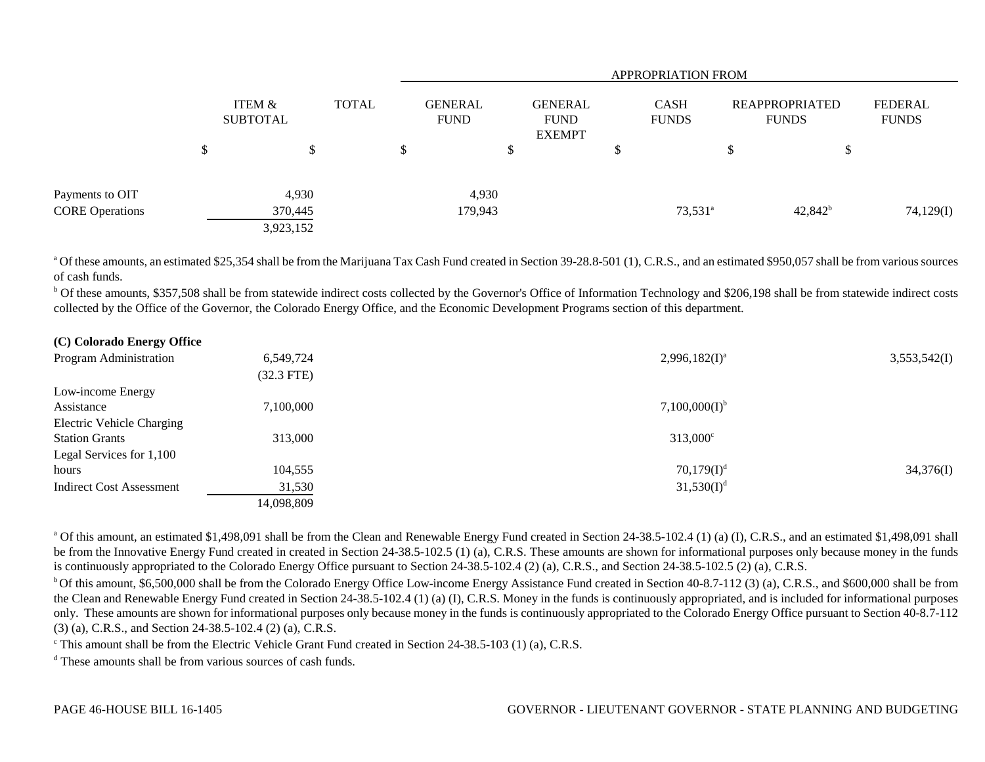|                        |        |                           |              |  | <b>APPROPRIATION FROM</b>     |                                                |  |                             |                                       |            |                         |  |
|------------------------|--------|---------------------------|--------------|--|-------------------------------|------------------------------------------------|--|-----------------------------|---------------------------------------|------------|-------------------------|--|
|                        |        | ITEM &<br><b>SUBTOTAL</b> | <b>TOTAL</b> |  | <b>GENERAL</b><br><b>FUND</b> | <b>GENERAL</b><br><b>FUND</b><br><b>EXEMPT</b> |  | <b>CASH</b><br><b>FUNDS</b> | <b>REAPPROPRIATED</b><br><b>FUNDS</b> |            | FEDERAL<br><b>FUNDS</b> |  |
|                        | ¢<br>Φ | \$                        |              |  |                               | $\mathcal{D}$                                  |  |                             | \$                                    | ക          |                         |  |
| Payments to OIT        |        | 4,930                     |              |  | 4,930                         |                                                |  |                             |                                       |            |                         |  |
| <b>CORE Operations</b> |        | 370,445                   |              |  | 179,943                       |                                                |  | $73,531^a$                  |                                       | $42,842^b$ | 74,129(I)               |  |
|                        |        | 3,923,152                 |              |  |                               |                                                |  |                             |                                       |            |                         |  |

<sup>a</sup> Of these amounts, an estimated \$25,354 shall be from the Marijuana Tax Cash Fund created in Section 39-28.8-501 (1), C.R.S., and an estimated \$950,057 shall be from various sources of cash funds.

**b** Of these amounts, \$357,508 shall be from statewide indirect costs collected by the Governor's Office of Information Technology and \$206,198 shall be from statewide indirect costs collected by the Office of the Governor, the Colorado Energy Office, and the Economic Development Programs section of this department.

| (C) Colorado Energy Office       |              |                    |              |
|----------------------------------|--------------|--------------------|--------------|
| Program Administration           | 6,549,724    | $2,996,182(I)^a$   | 3,553,542(I) |
|                                  | $(32.3$ FTE) |                    |              |
| Low-income Energy                |              |                    |              |
| Assistance                       | 7,100,000    | $7,100,000(I)^{b}$ |              |
| <b>Electric Vehicle Charging</b> |              |                    |              |
| <b>Station Grants</b>            | 313,000      | $313,000^{\circ}$  |              |
| Legal Services for 1,100         |              |                    |              |
| hours                            | 104,555      | $70,179(I)^d$      | 34,376(I)    |
| <b>Indirect Cost Assessment</b>  | 31,530       | $31,530(I)^d$      |              |
|                                  | 14,098,809   |                    |              |

<sup>a</sup> Of this amount, an estimated \$1,498,091 shall be from the Clean and Renewable Energy Fund created in Section 24-38.5-102.4 (1) (a) (I), C.R.S., and an estimated \$1,498,091 shall be from the Innovative Energy Fund created in created in Section 24-38.5-102.5 (1) (a), C.R.S. These amounts are shown for informational purposes only because money in the funds is continuously appropriated to the Colorado Energy Office pursuant to Section 24-38.5-102.4 (2) (a), C.R.S., and Section 24-38.5-102.5 (2) (a), C.R.S.

<sup>b</sup> Of this amount, \$6,500,000 shall be from the Colorado Energy Office Low-income Energy Assistance Fund created in Section 40-8.7-112 (3) (a), C.R.S., and \$600,000 shall be from the Clean and Renewable Energy Fund created in Section 24-38.5-102.4 (1) (a) (I), C.R.S. Money in the funds is continuously appropriated, and is included for informational purposes only. These amounts are shown for informational purposes only because money in the funds is continuously appropriated to the Colorado Energy Office pursuant to Section 40-8.7-112 (3) (a), C.R.S., and Section 24-38.5-102.4 (2) (a), C.R.S.

 $\textdegree$  This amount shall be from the Electric Vehicle Grant Fund created in Section 24-38.5-103 (1) (a), C.R.S.

<sup>d</sup> These amounts shall be from various sources of cash funds.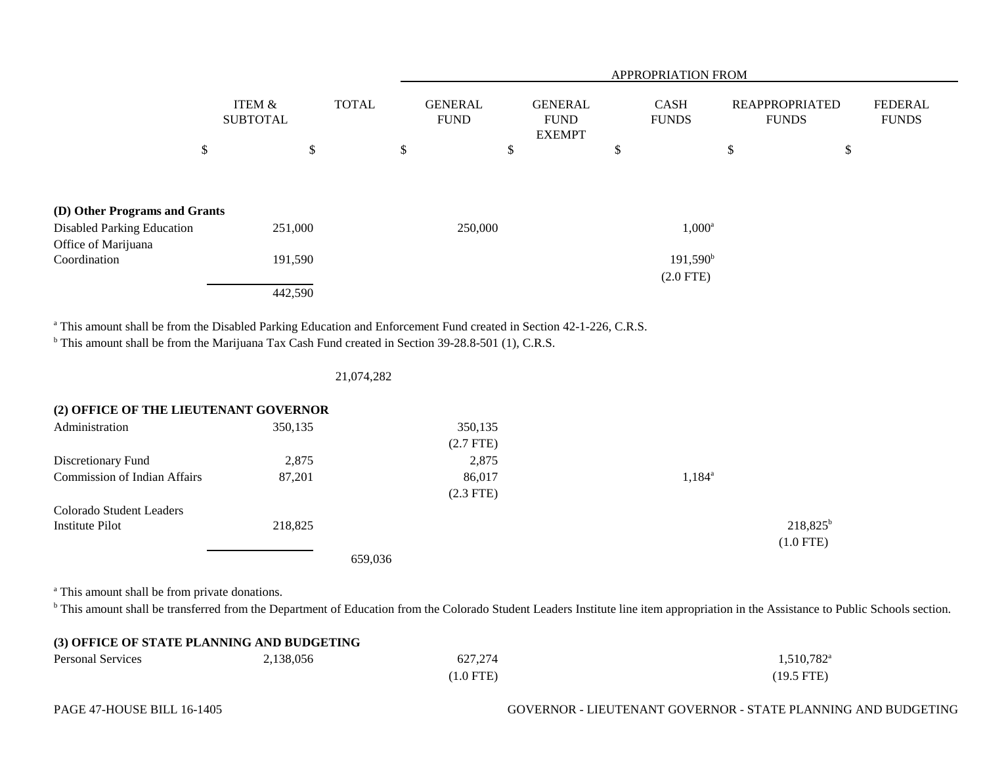|                                                          |                                      |              | APPROPRIATION FROM            |    |                                                |    |                                  |                                |    |                                |
|----------------------------------------------------------|--------------------------------------|--------------|-------------------------------|----|------------------------------------------------|----|----------------------------------|--------------------------------|----|--------------------------------|
|                                                          | <b>ITEM &amp;</b><br><b>SUBTOTAL</b> | <b>TOTAL</b> | <b>GENERAL</b><br><b>FUND</b> |    | <b>GENERAL</b><br><b>FUND</b><br><b>EXEMPT</b> |    | <b>CASH</b><br><b>FUNDS</b>      | REAPPROPRIATED<br><b>FUNDS</b> |    | <b>FEDERAL</b><br><b>FUNDS</b> |
| \$                                                       |                                      | \$           | \$                            | \$ |                                                | \$ |                                  | \$                             | \$ |                                |
| (D) Other Programs and Grants                            |                                      |              |                               |    |                                                |    |                                  |                                |    |                                |
| <b>Disabled Parking Education</b><br>Office of Marijuana | 251,000                              |              | 250,000                       |    |                                                |    | $1,000^a$                        |                                |    |                                |
| Coordination                                             | 191,590                              |              |                               |    |                                                |    | $191,590^{\rm b}$<br>$(2.0$ FTE) |                                |    |                                |
|                                                          | 442,590                              |              |                               |    |                                                |    |                                  |                                |    |                                |

<sup>a</sup> This amount shall be from the Disabled Parking Education and Enforcement Fund created in Section 42-1-226, C.R.S.

<sup>b</sup> This amount shall be from the Marijuana Tax Cash Fund created in Section 39-28.8-501 (1), C.R.S.

|  | 21,074,282 |
|--|------------|
|  |            |

# **(2) OFFICE OF THE LIEUTENANT GOVERNOR**

| Administration                      | 350,135 | 350,135<br>$(2.7$ FTE) |                 |
|-------------------------------------|---------|------------------------|-----------------|
| Discretionary Fund                  | 2,875   | 2,875                  |                 |
| <b>Commission of Indian Affairs</b> | 87,201  | 86,017                 | $1,184^{\circ}$ |
|                                     |         | $(2.3$ FTE)            |                 |
| Colorado Student Leaders            |         |                        |                 |
| Institute Pilot                     | 218,825 |                        | $218,825^b$     |
|                                     |         |                        | $(1.0$ FTE)     |
|                                     |         | 659,036                |                 |

<sup>a</sup> This amount shall be from private donations.

<sup>b</sup> This amount shall be transferred from the Department of Education from the Colorado Student Leaders Institute line item appropriation in the Assistance to Public Schools section.

| (3) OFFICE OF STATE PLANNING AND BUDGETING |           |             |                        |  |  |  |
|--------------------------------------------|-----------|-------------|------------------------|--|--|--|
| <b>Personal Services</b>                   | 2,138,056 | 627,274     | $1,510,782^{\text{a}}$ |  |  |  |
|                                            |           | $(1.0$ FTE) | $(19.5$ FTE)           |  |  |  |

## PAGE 47-HOUSE BILL 16-1405 GOVERNOR - LIEUTENANT GOVERNOR - STATE PLANNING AND BUDGETING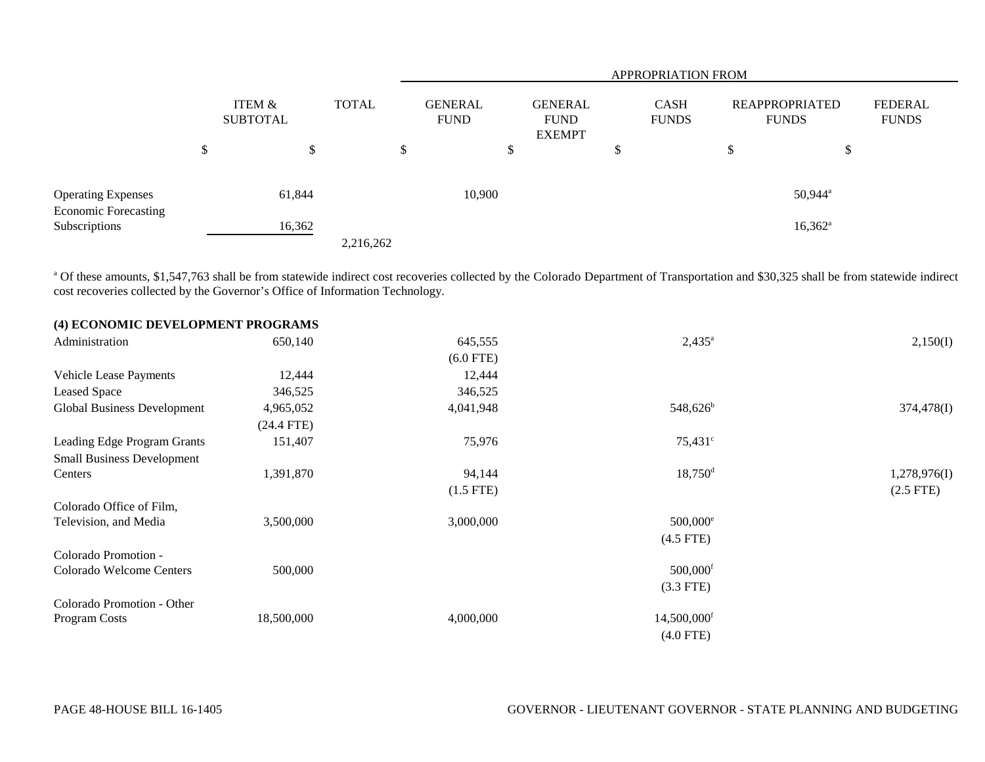|                                              |                           |              | <b>APPROPRIATION FROM</b> |                               |                                                |   |                             |   |                                       |                                |
|----------------------------------------------|---------------------------|--------------|---------------------------|-------------------------------|------------------------------------------------|---|-----------------------------|---|---------------------------------------|--------------------------------|
|                                              | ITEM &<br><b>SUBTOTAL</b> | <b>TOTAL</b> |                           | <b>GENERAL</b><br><b>FUND</b> | <b>GENERAL</b><br><b>FUND</b><br><b>EXEMPT</b> |   | <b>CASH</b><br><b>FUNDS</b> |   | <b>REAPPROPRIATED</b><br><b>FUNDS</b> | <b>FEDERAL</b><br><b>FUNDS</b> |
|                                              | \$<br>\$                  |              | \$                        |                               | ъ                                              | J |                             | D | \$                                    |                                |
| <b>Operating Expenses</b>                    | 61,844                    |              |                           | 10,900                        |                                                |   |                             |   | $50,944$ <sup>a</sup>                 |                                |
| <b>Economic Forecasting</b><br>Subscriptions | 16,362                    | 2,216,262    |                           |                               |                                                |   |                             |   | $16,362^a$                            |                                |

<sup>a</sup> Of these amounts, \$1,547,763 shall be from statewide indirect cost recoveries collected by the Colorado Department of Transportation and \$30,325 shall be from statewide indirect cost recoveries collected by the Governor's Office of Information Technology.

| (4) ECONOMIC DEVELOPMENT PROGRAMS |              |             |                           |                |
|-----------------------------------|--------------|-------------|---------------------------|----------------|
| Administration                    | 650,140      | 645,555     | $2,435^{\circ}$           | 2,150(I)       |
|                                   |              | $(6.0$ FTE) |                           |                |
| <b>Vehicle Lease Payments</b>     | 12,444       | 12,444      |                           |                |
| Leased Space                      | 346,525      | 346,525     |                           |                |
| Global Business Development       | 4,965,052    | 4,041,948   | 548,626 <sup>b</sup>      | 374,478(I)     |
|                                   | $(24.4$ FTE) |             |                           |                |
| Leading Edge Program Grants       | 151,407      | 75,976      | $75,431^{\circ}$          |                |
| <b>Small Business Development</b> |              |             |                           |                |
| Centers                           | 1,391,870    | 94,144      | $18,750$ <sup>d</sup>     | 1,278,976(I)   |
|                                   |              | $(1.5$ FTE) |                           | $(2.5$ FTE $)$ |
| Colorado Office of Film,          |              |             |                           |                |
| Television, and Media             | 3,500,000    | 3,000,000   | 500,000 <sup>e</sup>      |                |
|                                   |              |             | $(4.5$ FTE)               |                |
| Colorado Promotion -              |              |             |                           |                |
| Colorado Welcome Centers          | 500,000      |             | $500,000$ <sup>f</sup>    |                |
|                                   |              |             | $(3.3$ FTE)               |                |
| Colorado Promotion - Other        |              |             |                           |                |
| Program Costs                     | 18,500,000   | 4,000,000   | $14,500,000$ <sup>f</sup> |                |
|                                   |              |             | $(4.0$ FTE)               |                |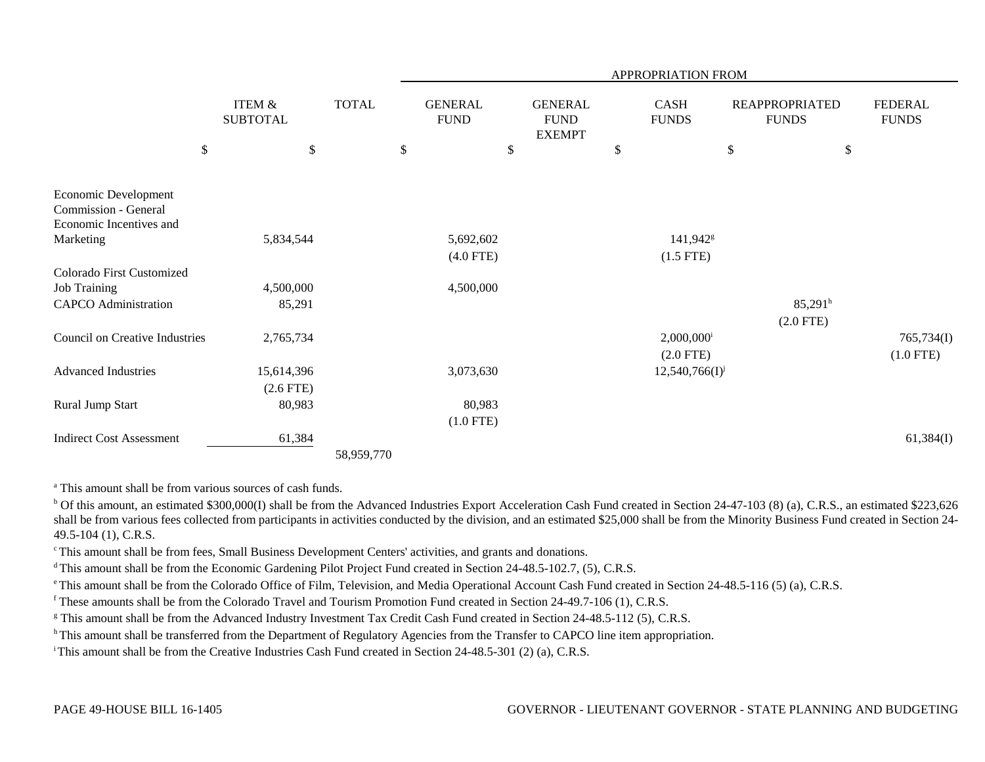|                                                                         |                                      |              | APPROPRIATION FROM            |                                                |    |                                         |                                       |                                |  |  |
|-------------------------------------------------------------------------|--------------------------------------|--------------|-------------------------------|------------------------------------------------|----|-----------------------------------------|---------------------------------------|--------------------------------|--|--|
|                                                                         | <b>ITEM &amp;</b><br><b>SUBTOTAL</b> | <b>TOTAL</b> | <b>GENERAL</b><br><b>FUND</b> | <b>GENERAL</b><br><b>FUND</b><br><b>EXEMPT</b> |    | CASH<br><b>FUNDS</b>                    | <b>REAPPROPRIATED</b><br><b>FUNDS</b> | <b>FEDERAL</b><br><b>FUNDS</b> |  |  |
| $\$$                                                                    | \$                                   | \$           | \$                            |                                                | \$ | $\$$                                    |                                       | \$                             |  |  |
| Economic Development<br>Commission - General<br>Economic Incentives and |                                      |              |                               |                                                |    |                                         |                                       |                                |  |  |
| Marketing                                                               | 5,834,544                            |              | 5,692,602                     |                                                |    | 141,942 <sup>g</sup>                    |                                       |                                |  |  |
|                                                                         |                                      |              | $(4.0$ FTE)                   |                                                |    | $(1.5$ FTE)                             |                                       |                                |  |  |
| Colorado First Customized                                               |                                      |              |                               |                                                |    |                                         |                                       |                                |  |  |
| <b>Job Training</b>                                                     | 4,500,000                            |              | 4,500,000                     |                                                |    |                                         |                                       |                                |  |  |
| <b>CAPCO</b> Administration                                             | 85,291                               |              |                               |                                                |    |                                         | 85,291 <sup>h</sup><br>$(2.0$ FTE)    |                                |  |  |
| <b>Council on Creative Industries</b>                                   | 2,765,734                            |              |                               |                                                |    | $2,000,000$ <sup>i</sup><br>$(2.0$ FTE) |                                       | 765,734(I)<br>$(1.0$ FTE)      |  |  |
| <b>Advanced Industries</b>                                              | 15,614,396<br>$(2.6$ FTE)            |              | 3,073,630                     |                                                |    | $12,540,766(I)^{j}$                     |                                       |                                |  |  |
| Rural Jump Start                                                        | 80,983                               |              | 80,983                        |                                                |    |                                         |                                       |                                |  |  |
|                                                                         |                                      |              | $(1.0$ FTE)                   |                                                |    |                                         |                                       |                                |  |  |
| <b>Indirect Cost Assessment</b>                                         | 61,384                               |              |                               |                                                |    |                                         |                                       | 61,384(I)                      |  |  |
|                                                                         |                                      | 58,959,770   |                               |                                                |    |                                         |                                       |                                |  |  |

<sup>a</sup> This amount shall be from various sources of cash funds.

<sup>b</sup> Of this amount, an estimated \$300,000(I) shall be from the Advanced Industries Export Acceleration Cash Fund created in Section 24-47-103 (8) (a), C.R.S., an estimated \$223,626 shall be from various fees collected from participants in activities conducted by the division, and an estimated \$25,000 shall be from the Minority Business Fund created in Section 24-49.5-104 (1), C.R.S.

c This amount shall be from fees, Small Business Development Centers' activities, and grants and donations.

<sup>d</sup> This amount shall be from the Economic Gardening Pilot Project Fund created in Section 24-48.5-102.7, (5), C.R.S.

<sup>e</sup> This amount shall be from the Colorado Office of Film, Television, and Media Operational Account Cash Fund created in Section 24-48.5-116 (5) (a), C.R.S.

f These amounts shall be from the Colorado Travel and Tourism Promotion Fund created in Section 24-49.7-106 (1), C.R.S.

<sup>g</sup> This amount shall be from the Advanced Industry Investment Tax Credit Cash Fund created in Section 24-48.5-112 (5), C.R.S.

<sup>h</sup> This amount shall be transferred from the Department of Regulatory Agencies from the Transfer to CAPCO line item appropriation.

i This amount shall be from the Creative Industries Cash Fund created in Section 24-48.5-301 (2) (a), C.R.S.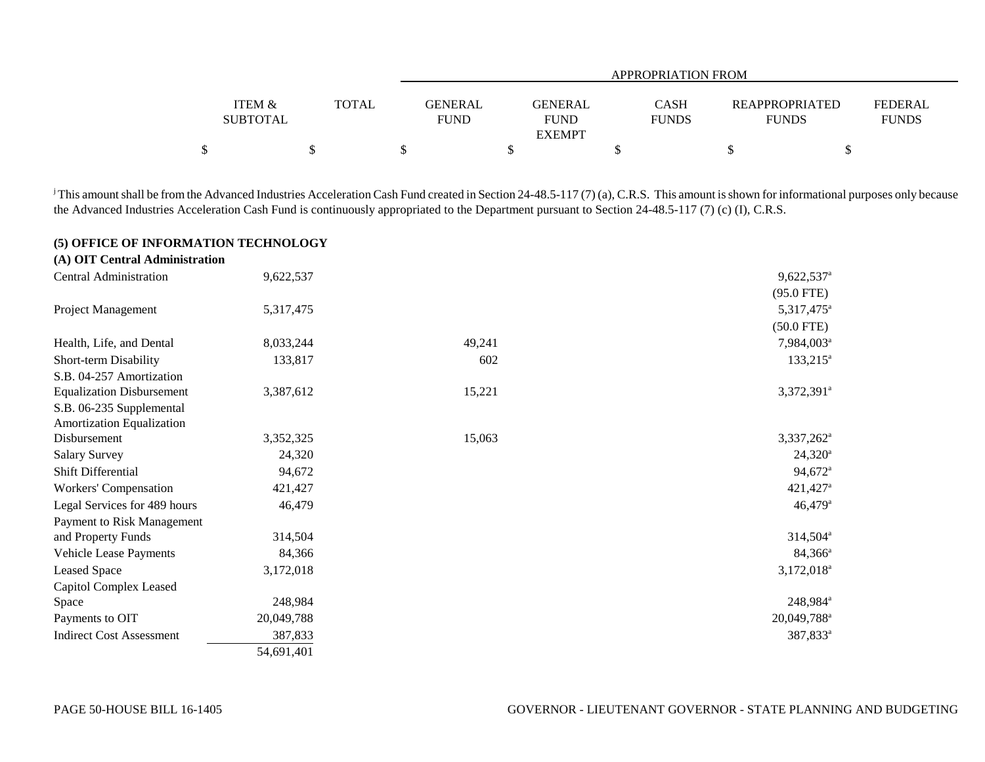|                   |              |             | APPROPRIATION FROM |              |                       |                |  |  |  |
|-------------------|--------------|-------------|--------------------|--------------|-----------------------|----------------|--|--|--|
|                   |              |             |                    |              |                       |                |  |  |  |
| <b>ITEM &amp;</b> | <b>TOTAL</b> | GENERAL     | <b>GENERAL</b>     | CASH         | <b>REAPPROPRIATED</b> | <b>FEDERAL</b> |  |  |  |
| <b>SUBTOTAL</b>   |              | <b>FUND</b> | <b>FUND</b>        | <b>FUNDS</b> | <b>FUNDS</b>          | <b>FUNDS</b>   |  |  |  |
|                   |              |             | <b>EXEMPT</b>      |              |                       |                |  |  |  |
| Φ                 |              |             |                    |              |                       |                |  |  |  |

<sup>j</sup> This amount shall be from the Advanced Industries Acceleration Cash Fund created in Section 24-48.5-117 (7) (a), C.R.S. This amount is shown for informational purposes only because the Advanced Industries Acceleration Cash Fund is continuously appropriated to the Department pursuant to Section 24-48.5-117 (7) (c) (I), C.R.S.

### **(5) OFFICE OF INFORMATION TECHNOLOGY**

| (A) OIT Central Administration   |            |        |                        |
|----------------------------------|------------|--------|------------------------|
| Central Administration           | 9,622,537  |        | 9,622,537 <sup>a</sup> |
|                                  |            |        | $(95.0$ FTE)           |
| Project Management               | 5,317,475  |        | 5,317,475 <sup>a</sup> |
|                                  |            |        | $(50.0$ FTE)           |
| Health, Life, and Dental         | 8,033,244  | 49,241 | 7,984,003 <sup>a</sup> |
| Short-term Disability            | 133,817    | 602    | $133,215$ <sup>a</sup> |
| S.B. 04-257 Amortization         |            |        |                        |
| <b>Equalization Disbursement</b> | 3,387,612  | 15,221 | 3,372,391 <sup>a</sup> |
| S.B. 06-235 Supplemental         |            |        |                        |
| <b>Amortization Equalization</b> |            |        |                        |
| Disbursement                     | 3,352,325  | 15,063 | 3,337,262              |
| <b>Salary Survey</b>             | 24,320     |        | $24,320^{\circ}$       |
| <b>Shift Differential</b>        | 94,672     |        | 94,672 <sup>a</sup>    |
| Workers' Compensation            | 421,427    |        | 421,427 <sup>a</sup>   |
| Legal Services for 489 hours     | 46,479     |        | $46,479$ <sup>a</sup>  |
| Payment to Risk Management       |            |        |                        |
| and Property Funds               | 314,504    |        | 314,504 <sup>a</sup>   |
| Vehicle Lease Payments           | 84,366     |        | 84,366 <sup>a</sup>    |
| Leased Space                     | 3,172,018  |        | $3,172,018^{\circ}$    |
| Capitol Complex Leased           |            |        |                        |
| Space                            | 248,984    |        | 248,984 <sup>ª</sup>   |
| Payments to OIT                  | 20,049,788 |        | 20,049,788             |
| <b>Indirect Cost Assessment</b>  | 387,833    |        | 387,833 <sup>a</sup>   |
|                                  | 54,691,401 |        |                        |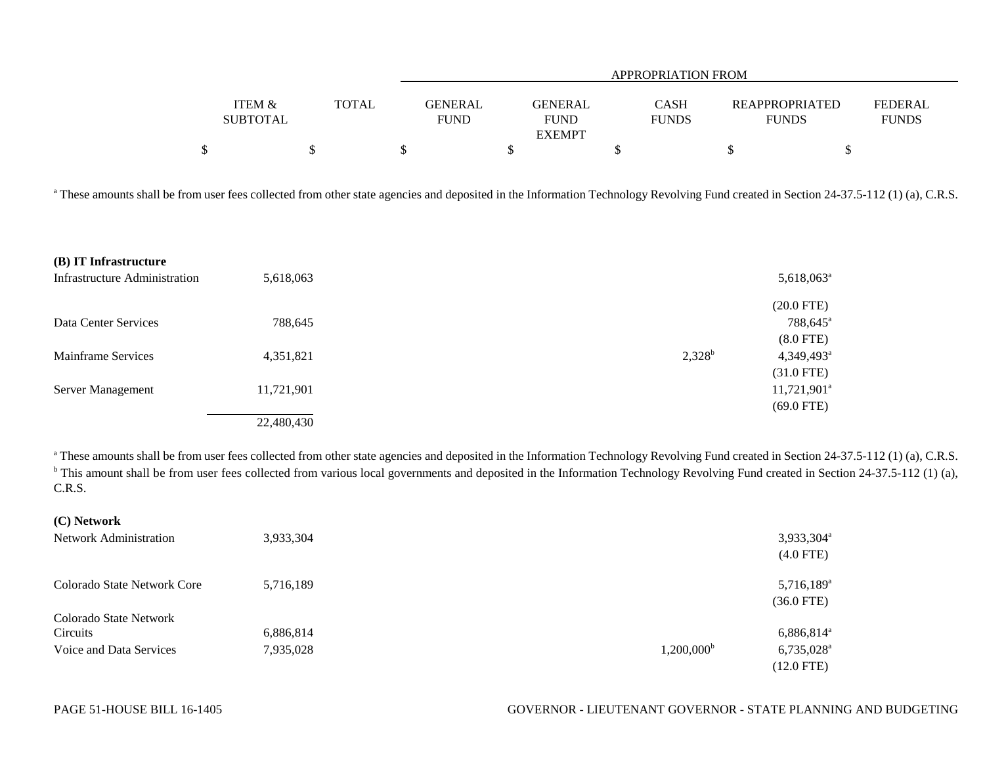|                           |              |                               |                                                | APPROPRIATION FROM          |                                       |                                |  |  |  |
|---------------------------|--------------|-------------------------------|------------------------------------------------|-----------------------------|---------------------------------------|--------------------------------|--|--|--|
| ITEM &<br><b>SUBTOTAL</b> | <b>TOTAL</b> | <b>GENERAL</b><br><b>FUND</b> | <b>GENERAL</b><br><b>FUND</b><br><b>EXEMPT</b> | <b>CASH</b><br><b>FUNDS</b> | <b>REAPPROPRIATED</b><br><b>FUNDS</b> | <b>FEDERAL</b><br><b>FUNDS</b> |  |  |  |
|                           |              |                               |                                                |                             |                                       |                                |  |  |  |

<sup>a</sup> These amounts shall be from user fees collected from other state agencies and deposited in the Information Technology Revolving Fund created in Section 24-37.5-112 (1) (a), C.R.S.

| (B) IT Infrastructure                |            |           |                          |
|--------------------------------------|------------|-----------|--------------------------|
| <b>Infrastructure Administration</b> | 5,618,063  |           | $5,618,063$ <sup>a</sup> |
|                                      |            |           | $(20.0$ FTE)             |
| Data Center Services                 | 788,645    |           | 788,645 <sup>a</sup>     |
|                                      |            |           | $(8.0$ FTE)              |
| Mainframe Services                   | 4,351,821  | $2,328^b$ | 4,349,493                |
|                                      |            |           | $(31.0$ FTE)             |
| Server Management                    | 11,721,901 |           | $11,721,901^{\circ}$     |
|                                      |            |           | $(69.0$ FTE)             |
|                                      | 22,480,430 |           |                          |

<sup>a</sup> These amounts shall be from user fees collected from other state agencies and deposited in the Information Technology Revolving Fund created in Section 24-37.5-112 (1) (a), C.R.S. <sup>b</sup> This amount shall be from user fees collected from various local governments and deposited in the Information Technology Revolving Fund created in Section 24-37.5-112 (1) (a), C.R.S.

| <b>ICLINGUATE</b>             |           |                     |                        |
|-------------------------------|-----------|---------------------|------------------------|
| <b>Network Administration</b> | 3,933,304 |                     | 3,933,304 <sup>a</sup> |
|                               |           |                     | $(4.0$ FTE)            |
| Colorado State Network Core   | 5,716,189 |                     | 5,716,189 <sup>a</sup> |
|                               |           |                     | $(36.0$ FTE)           |
| Colorado State Network        |           |                     |                        |
| Circuits                      | 6,886,814 |                     | $6,886,814^{\circ}$    |
| Voice and Data Services       | 7,935,028 | $1,200,000^{\rm b}$ | 6,735,028 <sup>a</sup> |
|                               |           |                     | $(12.0$ FTE)           |

**(C) Network**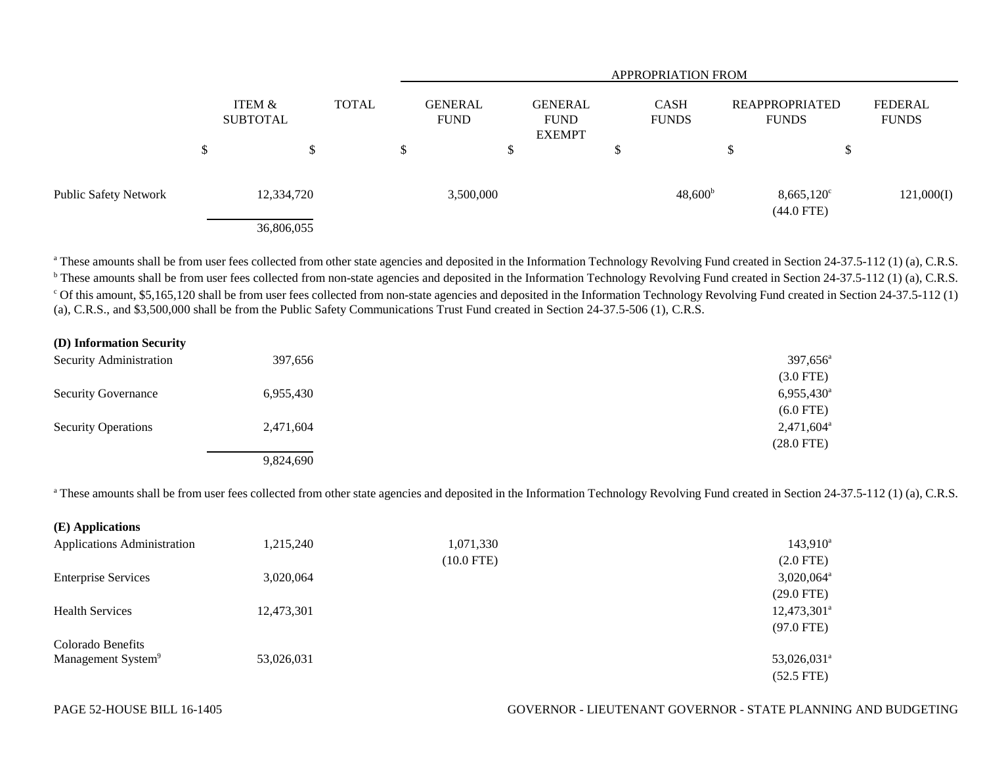|                              |        |                           |              | <b>APPROPRIATION FROM</b> |                               |                                         |   |                             |    |                                       |                         |
|------------------------------|--------|---------------------------|--------------|---------------------------|-------------------------------|-----------------------------------------|---|-----------------------------|----|---------------------------------------|-------------------------|
|                              |        | ITEM &<br><b>SUBTOTAL</b> | <b>TOTAL</b> |                           | <b>GENERAL</b><br><b>FUND</b> | GENERAL<br><b>FUND</b><br><b>EXEMPT</b> |   | <b>CASH</b><br><b>FUNDS</b> |    | <b>REAPPROPRIATED</b><br><b>FUNDS</b> | FEDERAL<br><b>FUNDS</b> |
|                              | ¢<br>Φ | \$                        |              | \$                        |                               |                                         | ◡ |                             | \$ | ₼                                     |                         |
| <b>Public Safety Network</b> |        | 12,334,720                |              |                           | 3,500,000                     |                                         |   | $48,600^{\rm b}$            |    | $8,665,120^{\circ}$<br>$(44.0$ FTE)   | 121,000(I)              |
|                              |        | 36,806,055                |              |                           |                               |                                         |   |                             |    |                                       |                         |

<sup>a</sup> These amounts shall be from user fees collected from other state agencies and deposited in the Information Technology Revolving Fund created in Section 24-37.5-112 (1) (a), C.R.S. <sup>b</sup> These amounts shall be from user fees collected from non-state agencies and deposited in the Information Technology Revolving Fund created in Section 24-37.5-112 (1) (a), C.R.S. <sup>c</sup> Of this amount, \$5,165,120 shall be from user fees collected from non-state agencies and deposited in the Information Technology Revolving Fund created in Section 24-37.5-112 (1) (a), C.R.S., and \$3,500,000 shall be from the Public Safety Communications Trust Fund created in Section 24-37.5-506 (1), C.R.S.

| (D) Information Security       |           |                          |
|--------------------------------|-----------|--------------------------|
| <b>Security Administration</b> | 397,656   | 397,656 <sup>a</sup>     |
|                                |           | $(3.0$ FTE)              |
| <b>Security Governance</b>     | 6,955,430 | $6,955,430$ <sup>a</sup> |
|                                |           | $(6.0$ FTE)              |
| <b>Security Operations</b>     | 2,471,604 | $2,471,604^{\circ}$      |
|                                |           | $(28.0$ FTE)             |
|                                | 9,824,690 |                          |

<sup>a</sup> These amounts shall be from user fees collected from other state agencies and deposited in the Information Technology Revolving Fund created in Section 24-37.5-112 (1) (a), C.R.S.

| (E) Applications                   |            |              |                           |
|------------------------------------|------------|--------------|---------------------------|
| <b>Applications Administration</b> | 1,215,240  | 1,071,330    | $143,910^a$               |
|                                    |            | $(10.0$ FTE) | $(2.0$ FTE)               |
| <b>Enterprise Services</b>         | 3,020,064  |              | $3,020,064$ <sup>a</sup>  |
|                                    |            |              | $(29.0$ FTE)              |
| <b>Health Services</b>             | 12,473,301 |              | $12,473,301^a$            |
|                                    |            |              | $(97.0$ FTE)              |
| Colorado Benefits                  |            |              |                           |
| Management System <sup>9</sup>     | 53,026,031 |              | $53,026,031$ <sup>a</sup> |
|                                    |            |              | $(52.5$ FTE)              |

#### PAGE 52-HOUSE BILL 16-1405 GOVERNOR - LIEUTENANT GOVERNOR - STATE PLANNING AND BUDGETING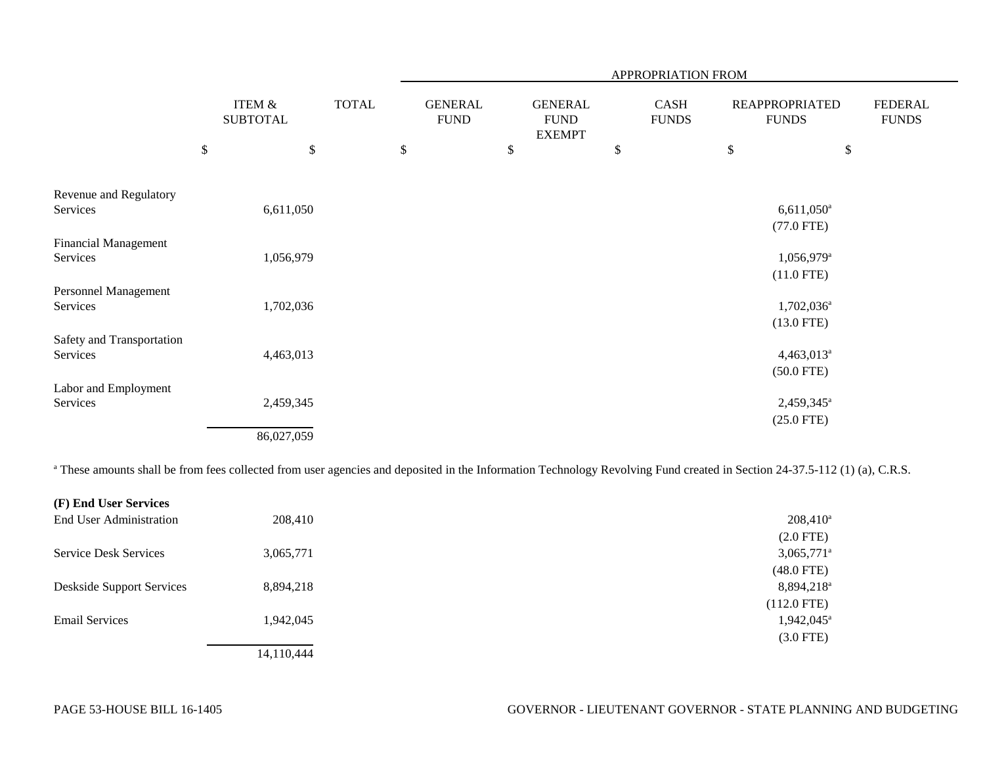|                                         |                           |                                      |              |                               |                                                | APPROPRIATION FROM   |      |                                          |                                |
|-----------------------------------------|---------------------------|--------------------------------------|--------------|-------------------------------|------------------------------------------------|----------------------|------|------------------------------------------|--------------------------------|
|                                         |                           | <b>ITEM &amp;</b><br><b>SUBTOTAL</b> | <b>TOTAL</b> | <b>GENERAL</b><br><b>FUND</b> | <b>GENERAL</b><br><b>FUND</b><br><b>EXEMPT</b> | CASH<br><b>FUNDS</b> |      | <b>REAPPROPRIATED</b><br><b>FUNDS</b>    | <b>FEDERAL</b><br><b>FUNDS</b> |
|                                         | $\boldsymbol{\mathsf{S}}$ | $\$\,$                               |              | \$                            | \$                                             | \$                   | $\$$ | \$                                       |                                |
| Revenue and Regulatory<br>Services      |                           | 6,611,050                            |              |                               |                                                |                      |      | $6,611,050$ <sup>a</sup><br>$(77.0$ FTE) |                                |
| <b>Financial Management</b><br>Services |                           | 1,056,979                            |              |                               |                                                |                      |      | 1,056,979 <sup>a</sup><br>$(11.0$ FTE)   |                                |
| Personnel Management<br>Services        |                           | 1,702,036                            |              |                               |                                                |                      |      | $1,702,036^{\mathrm{a}}$<br>$(13.0$ FTE) |                                |
| Safety and Transportation<br>Services   |                           | 4,463,013                            |              |                               |                                                |                      |      | 4,463,013 <sup>a</sup><br>$(50.0$ FTE)   |                                |
| Labor and Employment<br>Services        |                           | 2,459,345<br>86,027,059              |              |                               |                                                |                      |      | 2,459,345 <sup>a</sup><br>$(25.0$ FTE)   |                                |

<sup>a</sup> These amounts shall be from fees collected from user agencies and deposited in the Information Technology Revolving Fund created in Section 24-37.5-112 (1) (a), C.R.S.

| (F) End User Services            |            |                          |
|----------------------------------|------------|--------------------------|
| End User Administration          | 208,410    | $208,410^{\circ}$        |
|                                  |            | $(2.0$ FTE)              |
| <b>Service Desk Services</b>     | 3,065,771  | $3,065,771^\circ$        |
|                                  |            | $(48.0$ FTE)             |
| <b>Deskside Support Services</b> | 8,894,218  | 8,894,218                |
|                                  |            | $(112.0$ FTE)            |
| <b>Email Services</b>            | 1,942,045  | $1,942,045$ <sup>a</sup> |
|                                  |            | $(3.0$ FTE)              |
|                                  | 14,110,444 |                          |